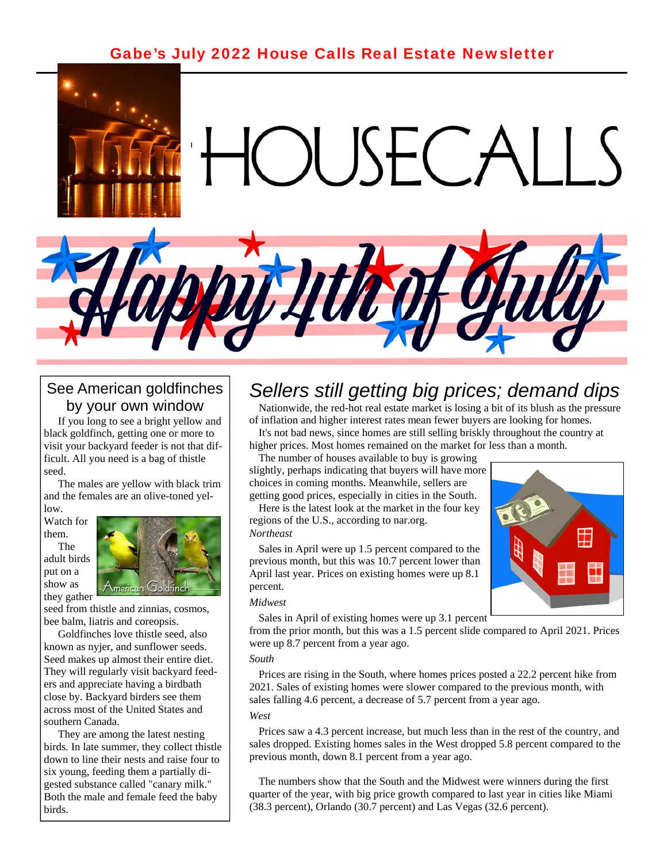### [Gabe's July 2022 House Calls Real Estate Newsletter](https://www.gabesanders.com/housecalls-newsletter.php)



### See American goldfinches by your own window

 If you long to see a bright yellow and black goldfinch, getting one or more to visit your backyard feeder is not that difficult. All you need is a bag of thistle seed.

 The males are yellow with black trim and the females are an olive-toned yellow.

Watch for them.

 The adult birds put on a show as they gather



seed from thistle and zinnias, cosmos, bee balm, liatris and coreopsis.

 Goldfinches love thistle seed, also known as nyjer, and sunflower seeds. Seed makes up almost their entire diet. They will regularly visit backyard feeders and appreciate having a birdbath close by. Backyard birders see them across most of the United States and southern Canada.

 They are among the latest nesting birds. In late summer, they collect thistle down to line their nests and raise four to six young, feeding them a partially digested substance called "canary milk." Both the male and female feed the baby birds.

### *Sellers still getting big prices; demand dips*

 Nationwide, the red-hot real estate market is losing a bit of its blush as the pressure of inflation and higher interest rates mean fewer buyers are looking for homes.

 It's not bad news, since homes are still selling briskly throughout the country at higher prices. Most homes remained on the market for less than a month.

 The number of houses available to buy is growing slightly, perhaps indicating that buyers will have more choices in coming months. Meanwhile, sellers are getting good prices, especially in cities in the South.

 Here is the latest look at the market in the four key regions of the U.S., according to nar.org. *Northeast* 

 Sales in April were up 1.5 percent compared to the previous month, but this was 10.7 percent lower than April last year. Prices on existing homes were up 8.1 percent.



Sales in April of existing homes were up 3.1 percent

from the prior month, but this was a 1.5 percent slide compared to April 2021. Prices were up 8.7 percent from a year ago.

#### *South*

 Prices are rising in the South, where homes prices posted a 22.2 percent hike from 2021. Sales of existing homes were slower compared to the previous month, with sales falling 4.6 percent, a decrease of 5.7 percent from a year ago.

#### *West*

 Prices saw a 4.3 percent increase, but much less than in the rest of the country, and sales dropped. Existing homes sales in the West dropped 5.8 percent compared to the previous month, down 8.1 percent from a year ago.

 The numbers show that the South and the Midwest were winners during the first quarter of the year, with big price growth compared to last year in cities like Miami (38.3 percent), Orlando (30.7 percent) and Las Vegas (32.6 percent).

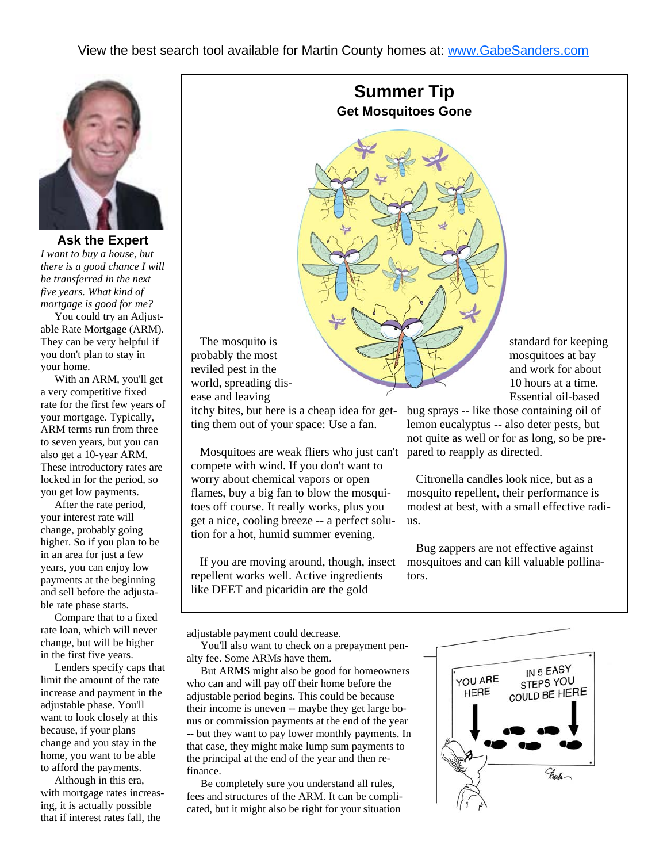

**Ask the Expert**  *I want to buy a house, but there is a good chance I will be transferred in the next five years. What kind of mortgage is good for me?* 

 You could try an Adjustable Rate Mortgage (ARM). They can be very helpful if you don't plan to stay in your home.

 With an ARM, you'll get a very competitive fixed rate for the first few years of your mortgage. Typically, ARM terms run from three to seven years, but you can also get a 10-year ARM. These introductory rates are locked in for the period, so you get low payments.

 After the rate period, your interest rate will change, probably going higher. So if you plan to be in an area for just a few years, you can enjoy low payments at the beginning and sell before the adjustable rate phase starts.

 Compare that to a fixed rate loan, which will never change, but will be higher in the first five years.

 Lenders specify caps that limit the amount of the rate increase and payment in the adjustable phase. You'll want to look closely at this because, if your plans change and you stay in the home, you want to be able to afford the payments.

 Although in this era, with mortgage rates increasing, it is actually possible that if interest rates fall, the

**Summer Tip Get Mosquitoes Gone** 



 The mosquito is probably the most reviled pest in the world, spreading disease and leaving

itchy bites, but here is a cheap idea for getting them out of your space: Use a fan.

 Mosquitoes are weak fliers who just can't pared to reapply as directed. compete with wind. If you don't want to worry about chemical vapors or open flames, buy a big fan to blow the mosquitoes off course. It really works, plus you get a nice, cooling breeze -- a perfect solution for a hot, humid summer evening.

 If you are moving around, though, insect repellent works well. Active ingredients like DEET and picaridin are the gold

mosquitoes at bay and work for about 10 hours at a time. Essential oil-based

bug sprays -- like those containing oil of lemon eucalyptus -- also deter pests, but not quite as well or for as long, so be pre-

 Citronella candles look nice, but as a mosquito repellent, their performance is modest at best, with a small effective radius.

 Bug zappers are not effective against mosquitoes and can kill valuable pollinators.

adjustable payment could decrease.

 You'll also want to check on a prepayment penalty fee. Some ARMs have them.

 But ARMS might also be good for homeowners who can and will pay off their home before the adjustable period begins. This could be because their income is uneven -- maybe they get large bonus or commission payments at the end of the year -- but they want to pay lower monthly payments. In that case, they might make lump sum payments to the principal at the end of the year and then refinance.

 Be completely sure you understand all rules, fees and structures of the ARM. It can be complicated, but it might also be right for your situation

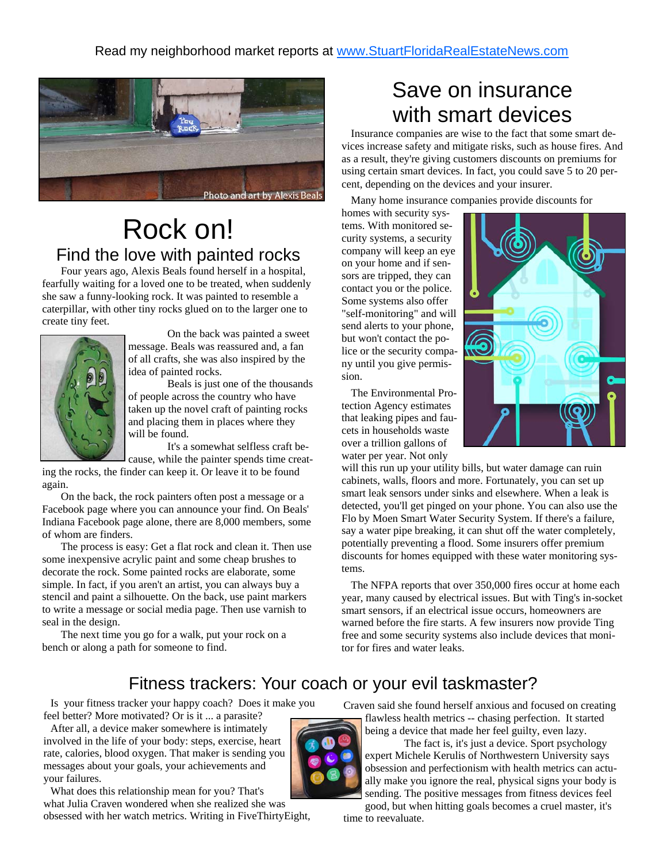

## Rock on! Find the love with painted rocks

 Four years ago, Alexis Beals found herself in a hospital, fearfully waiting for a loved one to be treated, when suddenly she saw a funny-looking rock. It was painted to resemble a caterpillar, with other tiny rocks glued on to the larger one to create tiny feet.



 On the back was painted a sweet message. Beals was reassured and, a fan of all crafts, she was also inspired by the idea of painted rocks.

 Beals is just one of the thousands of people across the country who have taken up the novel craft of painting rocks and placing them in places where they will be found.

 It's a somewhat selfless craft because, while the painter spends time creat-

ing the rocks, the finder can keep it. Or leave it to be found again.

 On the back, the rock painters often post a message or a Facebook page where you can announce your find. On Beals' Indiana Facebook page alone, there are 8,000 members, some of whom are finders.

 The process is easy: Get a flat rock and clean it. Then use some inexpensive acrylic paint and some cheap brushes to decorate the rock. Some painted rocks are elaborate, some simple. In fact, if you aren't an artist, you can always buy a stencil and paint a silhouette. On the back, use paint markers to write a message or social media page. Then use varnish to seal in the design.

 The next time you go for a walk, put your rock on a bench or along a path for someone to find.

### Save on insurance with smart devices

 Insurance companies are wise to the fact that some smart devices increase safety and mitigate risks, such as house fires. And as a result, they're giving customers discounts on premiums for using certain smart devices. In fact, you could save 5 to 20 percent, depending on the devices and your insurer.

Many home insurance companies provide discounts for

homes with security systems. With monitored security systems, a security company will keep an eye on your home and if sensors are tripped, they can contact you or the police. Some systems also offer "self-monitoring" and will send alerts to your phone, but won't contact the police or the security company until you give permission.

 The Environmental Protection Agency estimates that leaking pipes and faucets in households waste over a trillion gallons of water per year. Not only



will this run up your utility bills, but water damage can ruin cabinets, walls, floors and more. Fortunately, you can set up smart leak sensors under sinks and elsewhere. When a leak is detected, you'll get pinged on your phone. You can also use the Flo by Moen Smart Water Security System. If there's a failure, say a water pipe breaking, it can shut off the water completely, potentially preventing a flood. Some insurers offer premium discounts for homes equipped with these water monitoring systems.

 The NFPA reports that over 350,000 fires occur at home each year, many caused by electrical issues. But with Ting's in-socket smart sensors, if an electrical issue occurs, homeowners are warned before the fire starts. A few insurers now provide Ting free and some security systems also include devices that monitor for fires and water leaks.

### Fitness trackers: Your coach or your evil taskmaster?

 Is your fitness tracker your happy coach? Does it make you feel better? More motivated? Or is it ... a parasite?

 After all, a device maker somewhere is intimately involved in the life of your body: steps, exercise, heart rate, calories, blood oxygen. That maker is sending you messages about your goals, your achievements and your failures.

 What does this relationship mean for you? That's what Julia Craven wondered when she realized she was obsessed with her watch metrics. Writing in FiveThirtyEight, Craven said she found herself anxious and focused on creating flawless health metrics -- chasing perfection. It started being a device that made her feel guilty, even lazy.

 The fact is, it's just a device. Sport psychology expert Michele Kerulis of Northwestern University says obsession and perfectionism with health metrics can actually make you ignore the real, physical signs your body is sending. The positive messages from fitness devices feel

good, but when hitting goals becomes a cruel master, it's time to reevaluate.